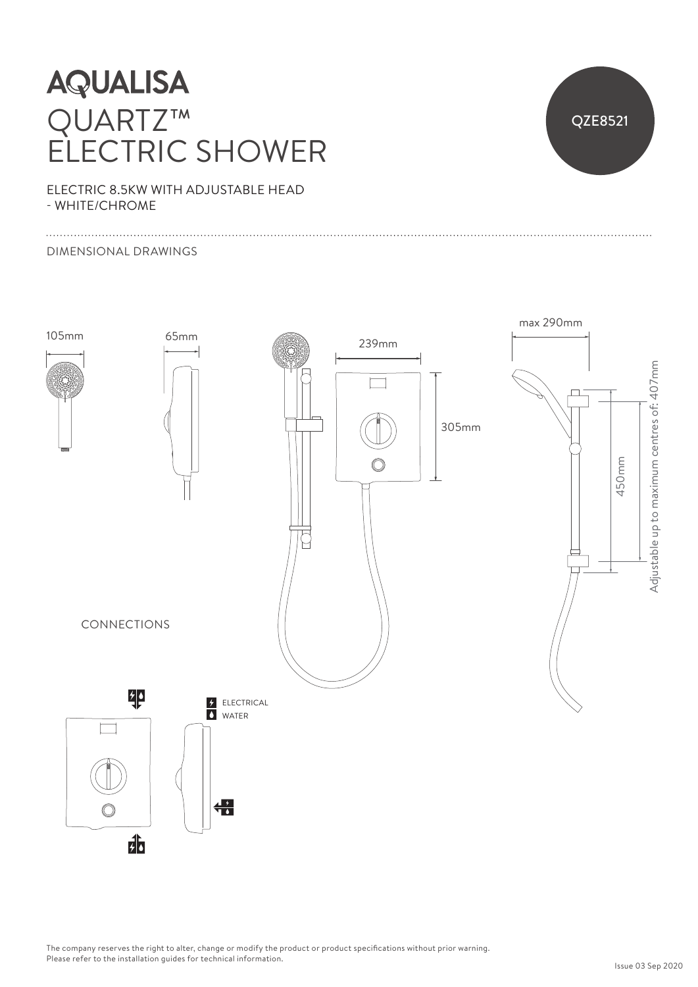## **AQUALISA** QUARTZ™ ELECTRIC SHOWER



ELECTRIC 8.5KW WITH ADJUSTABLE HEAD - WHITE/CHROME

### DIMENSIONAL DRAWINGS



The company reserves the right to alter, change or modify the product or product specifications without prior warning. Please refer to the installation guides for technical information.